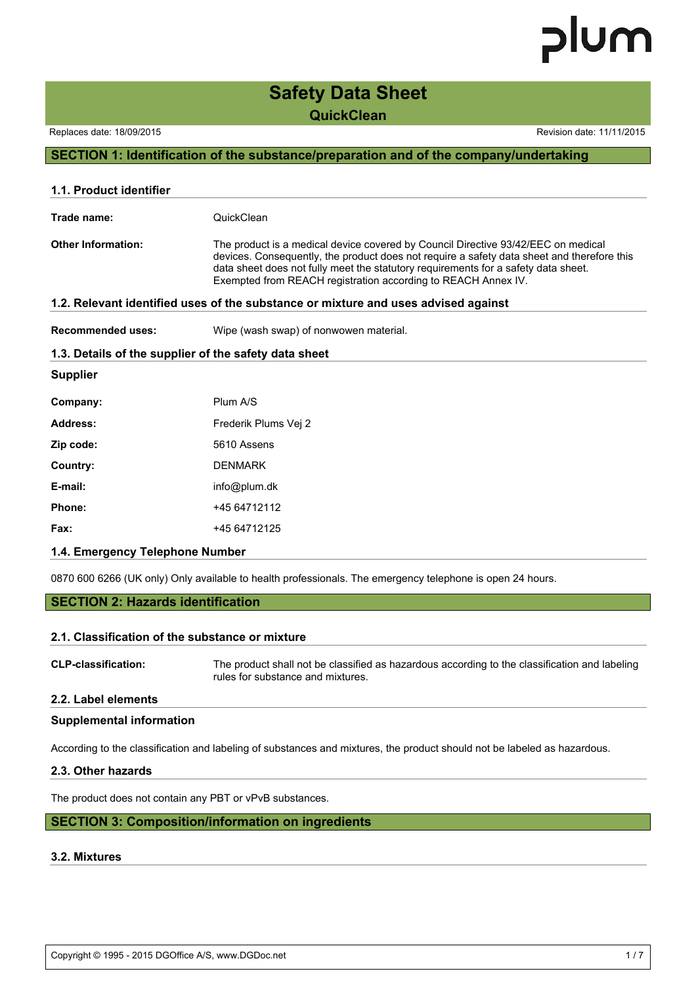### **Safety Data Sheet QuickClean**

Replaces date: 18/09/2015 **Replaces** date: 11/11/2015

#### **SECTION 1: Identification of the substance/preparation and of the company/undertaking**

| 1.1. Product identifier                                                            |                                                                                                                                                                                                                                                                                                                                        |  |  |
|------------------------------------------------------------------------------------|----------------------------------------------------------------------------------------------------------------------------------------------------------------------------------------------------------------------------------------------------------------------------------------------------------------------------------------|--|--|
| Trade name:                                                                        | QuickClean                                                                                                                                                                                                                                                                                                                             |  |  |
| <b>Other Information:</b>                                                          | The product is a medical device covered by Council Directive 93/42/EEC on medical<br>devices. Consequently, the product does not require a safety data sheet and therefore this<br>data sheet does not fully meet the statutory requirements for a safety data sheet.<br>Exempted from REACH registration according to REACH Annex IV. |  |  |
| 1.2. Relevant identified uses of the substance or mixture and uses advised against |                                                                                                                                                                                                                                                                                                                                        |  |  |
| <b>Recommended uses:</b>                                                           | Wipe (wash swap) of nonwowen material.                                                                                                                                                                                                                                                                                                 |  |  |
|                                                                                    | 1.3. Details of the supplier of the safety data sheet                                                                                                                                                                                                                                                                                  |  |  |
| <b>Supplier</b>                                                                    |                                                                                                                                                                                                                                                                                                                                        |  |  |
| Company:                                                                           | Plum A/S                                                                                                                                                                                                                                                                                                                               |  |  |
| Address:                                                                           | Frederik Plums Vei 2                                                                                                                                                                                                                                                                                                                   |  |  |
| Zip code:                                                                          | 5610 Assens                                                                                                                                                                                                                                                                                                                            |  |  |
| Country:                                                                           | <b>DENMARK</b>                                                                                                                                                                                                                                                                                                                         |  |  |
| E-mail:                                                                            | info@plum.dk                                                                                                                                                                                                                                                                                                                           |  |  |
| Phone:                                                                             | +45 64712112                                                                                                                                                                                                                                                                                                                           |  |  |
| Fax:                                                                               | +45 64712125                                                                                                                                                                                                                                                                                                                           |  |  |
| 1.4. Emergency Telephone Number                                                    |                                                                                                                                                                                                                                                                                                                                        |  |  |

0870 600 6266 (UK only) Only available to health professionals. The emergency telephone is open 24 hours.

#### **SECTION 2: Hazards identification**

#### **2.1. Classification of the substance or mixture**

**CLP-classification:** The product shall not be classified as hazardous according to the classification and labeling rules for substance and mixtures.

#### **2.2. Label elements**

#### **Supplemental information**

According to the classification and labeling of substances and mixtures, the product should not be labeled as hazardous.

#### **2.3. Other hazards**

The product does not contain any PBT or vPvB substances.

#### **SECTION 3: Composition/information on ingredients**

#### **3.2. Mixtures**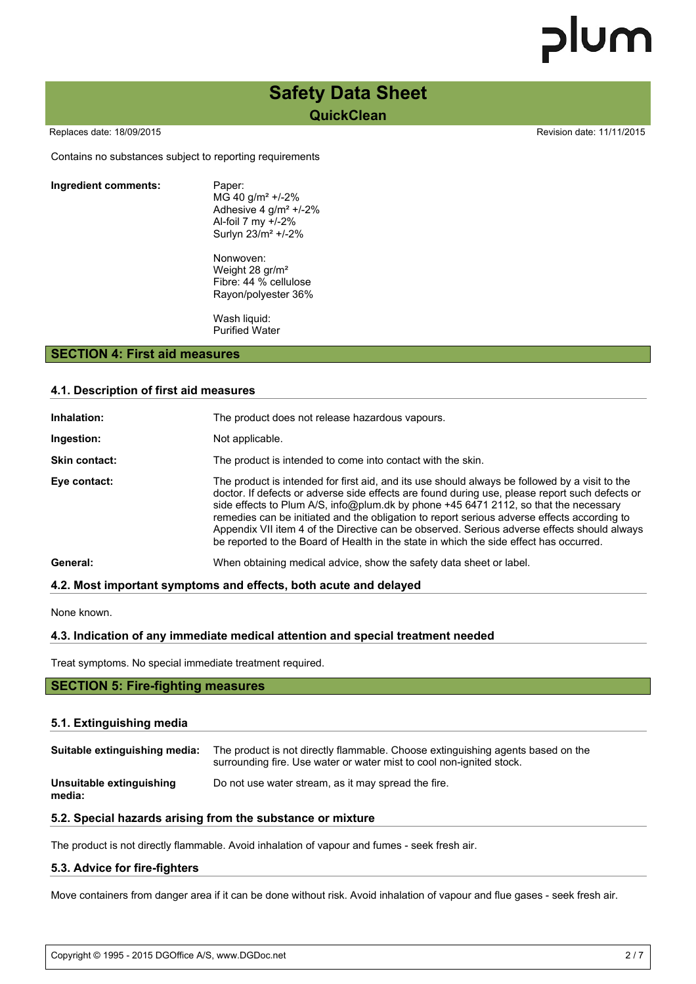### **Safety Data Sheet QuickClean**

Replaces date: 18/09/2015 **Replaces** date: 11/11/2015

Contains no substances subject to reporting requirements

#### **Ingredient comments:** Paper:

MG 40 g/m² +/-2% Adhesive 4 g/m² +/-2% Al-foil 7 my +/-2% Surlyn 23/m² +/-2%

Nonwoven: Weight 28 gr/m² Fibre: 44 % cellulose Rayon/polyester 36%

Wash liquid: Purified Water

#### **SECTION 4: First aid measures**

#### **4.1. Description of first aid measures**

| Inhalation:          | The product does not release hazardous vapours.                                                                                                                                                                                                                                                                                                                                                                                                                                                                                                                                  |  |  |
|----------------------|----------------------------------------------------------------------------------------------------------------------------------------------------------------------------------------------------------------------------------------------------------------------------------------------------------------------------------------------------------------------------------------------------------------------------------------------------------------------------------------------------------------------------------------------------------------------------------|--|--|
| Ingestion:           | Not applicable.                                                                                                                                                                                                                                                                                                                                                                                                                                                                                                                                                                  |  |  |
| <b>Skin contact:</b> | The product is intended to come into contact with the skin.                                                                                                                                                                                                                                                                                                                                                                                                                                                                                                                      |  |  |
| Eye contact:         | The product is intended for first aid, and its use should always be followed by a visit to the<br>doctor. If defects or adverse side effects are found during use, please report such defects or<br>side effects to Plum A/S, info@plum.dk by phone +45 6471 2112, so that the necessary<br>remedies can be initiated and the obligation to report serious adverse effects according to<br>Appendix VII item 4 of the Directive can be observed. Serious adverse effects should always<br>be reported to the Board of Health in the state in which the side effect has occurred. |  |  |
| General:             | When obtaining medical advice, show the safety data sheet or label.                                                                                                                                                                                                                                                                                                                                                                                                                                                                                                              |  |  |

#### **4.2. Most important symptoms and effects, both acute and delayed**

None known.

#### **4.3. Indication of any immediate medical attention and special treatment needed**

Treat symptoms. No special immediate treatment required.

#### **SECTION 5: Fire-fighting measures**

#### **5.1. Extinguishing media**

| Suitable extinguishing media:      | The product is not directly flammable. Choose extinguishing agents based on the<br>surrounding fire. Use water or water mist to cool non-ignited stock. |
|------------------------------------|---------------------------------------------------------------------------------------------------------------------------------------------------------|
| Unsuitable extinguishing<br>media: | Do not use water stream, as it may spread the fire.                                                                                                     |

#### **5.2. Special hazards arising from the substance or mixture**

The product is not directly flammable. Avoid inhalation of vapour and fumes - seek fresh air.

#### **5.3. Advice for fire-fighters**

Move containers from danger area if it can be done without risk. Avoid inhalation of vapour and flue gases - seek fresh air.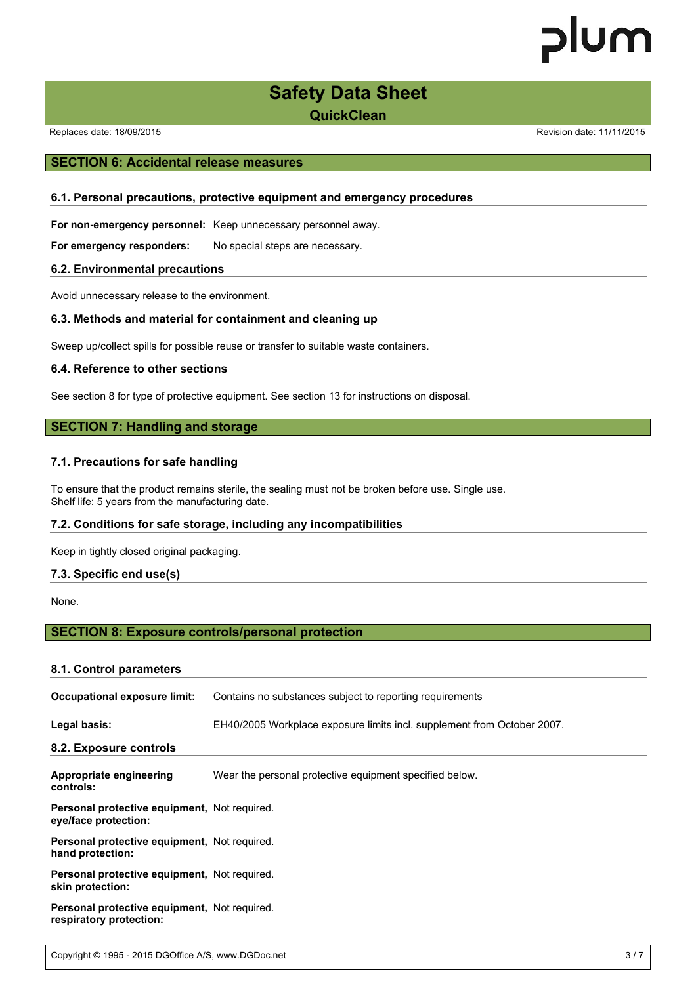### **Safety Data Sheet**

**QuickClean**

Replaces date: 18/09/2015 **Replaces** date: 11/11/2015

#### **SECTION 6: Accidental release measures**

#### **6.1. Personal precautions, protective equipment and emergency procedures**

**For non-emergency personnel:** Keep unnecessary personnel away.

**For emergency responders:** No special steps are necessary.

#### **6.2. Environmental precautions**

Avoid unnecessary release to the environment.

#### **6.3. Methods and material for containment and cleaning up**

Sweep up/collect spills for possible reuse or transfer to suitable waste containers.

#### **6.4. Reference to other sections**

See section 8 for type of protective equipment. See section 13 for instructions on disposal.

#### **SECTION 7: Handling and storage**

#### **7.1. Precautions for safe handling**

To ensure that the product remains sterile, the sealing must not be broken before use. Single use. Shelf life: 5 years from the manufacturing date.

#### **7.2. Conditions for safe storage, including any incompatibilities**

Keep in tightly closed original packaging.

#### **7.3. Specific end use(s)**

None.

#### **SECTION 8: Exposure controls/personal protection**

#### **8.1. Control parameters**

| Occupational exposure limit:                                            | Contains no substances subject to reporting requirements                |  |  |
|-------------------------------------------------------------------------|-------------------------------------------------------------------------|--|--|
| Legal basis:                                                            | EH40/2005 Workplace exposure limits incl. supplement from October 2007. |  |  |
| 8.2. Exposure controls                                                  |                                                                         |  |  |
| Appropriate engineering<br>controls:                                    | Wear the personal protective equipment specified below.                 |  |  |
| Personal protective equipment, Not required.<br>eye/face protection:    |                                                                         |  |  |
| <b>Personal protective equipment.</b> Not required.<br>hand protection: |                                                                         |  |  |
| Personal protective equipment, Not required.<br>skin protection:        |                                                                         |  |  |
| Personal protective equipment, Not required.<br>respiratory protection: |                                                                         |  |  |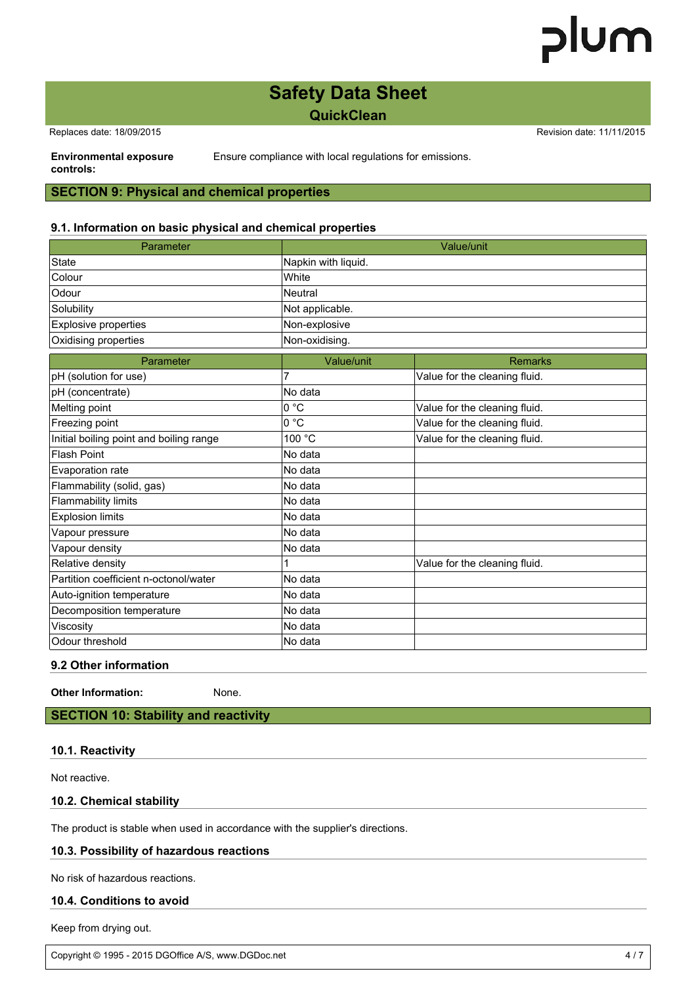### **Safety Data Sheet QuickClean**

Replaces date: 18/09/2015 **Replaces** date: 11/11/2015

Ensure compliance with local regulations for emissions.

**Environmental exposure controls:**

#### **SECTION 9: Physical and chemical properties**

#### **9.1. Information on basic physical and chemical properties**

| Parameter                               |                     | Value/unit                    |  |
|-----------------------------------------|---------------------|-------------------------------|--|
| State                                   | Napkin with liquid. |                               |  |
| Colour                                  | White               |                               |  |
| Odour                                   | <b>Neutral</b>      |                               |  |
| Solubility                              | Not applicable.     |                               |  |
| <b>Explosive properties</b>             | Non-explosive       |                               |  |
| Oxidising properties                    | Non-oxidising.      |                               |  |
| Parameter                               | Value/unit          | <b>Remarks</b>                |  |
| pH (solution for use)                   | 7                   | Value for the cleaning fluid. |  |
| pH (concentrate)                        | No data             |                               |  |
| Melting point                           | 0 °C                | Value for the cleaning fluid. |  |
| Freezing point                          | 0 °C                | Value for the cleaning fluid. |  |
| Initial boiling point and boiling range | 100 °C              | Value for the cleaning fluid. |  |
| Flash Point                             | No data             |                               |  |
| Evaporation rate                        | No data             |                               |  |
| Flammability (solid, gas)               | No data             |                               |  |
| <b>Flammability limits</b>              | No data             |                               |  |
| <b>Explosion limits</b>                 | No data             |                               |  |
| Vapour pressure                         | No data             |                               |  |
| Vapour density                          | No data             |                               |  |
| Relative density                        |                     | Value for the cleaning fluid. |  |
| Partition coefficient n-octonol/water   | No data             |                               |  |
| Auto-ignition temperature               | No data             |                               |  |
| Decomposition temperature               | No data             |                               |  |
| Viscosity                               | No data             |                               |  |
| Odour threshold                         | No data             |                               |  |

**9.2 Other information**

**Other Information:** None.

#### **SECTION 10: Stability and reactivity**

#### **10.1. Reactivity**

Not reactive.

#### **10.2. Chemical stability**

The product is stable when used in accordance with the supplier's directions.

#### **10.3. Possibility of hazardous reactions**

No risk of hazardous reactions.

#### **10.4. Conditions to avoid**

Keep from drying out.

Copyright © 1995 - 2015 DGOffice A/S, www.DGDoc.net 4 / 7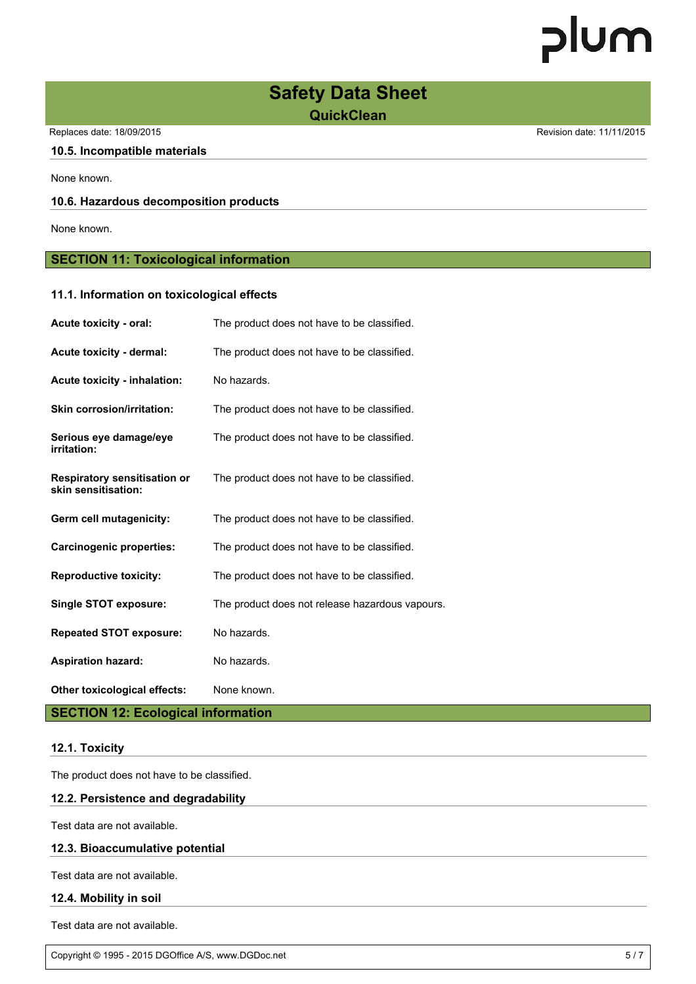### **Safety Data Sheet QuickClean**

Replaces date: 18/09/2015 **Replaces** date: 11/11/2015

#### **10.5. Incompatible materials**

None known.

#### **10.6. Hazardous decomposition products**

None known.

#### **SECTION 11: Toxicological information**

#### **11.1. Information on toxicological effects**

| <b>Acute toxicity - oral:</b>                              | The product does not have to be classified.     |
|------------------------------------------------------------|-------------------------------------------------|
| <b>Acute toxicity - dermal:</b>                            | The product does not have to be classified.     |
| <b>Acute toxicity - inhalation:</b>                        | No hazards.                                     |
| <b>Skin corrosion/irritation:</b>                          | The product does not have to be classified.     |
| Serious eye damage/eye<br>irritation:                      | The product does not have to be classified.     |
| <b>Respiratory sensitisation or</b><br>skin sensitisation: | The product does not have to be classified.     |
| Germ cell mutagenicity:                                    | The product does not have to be classified.     |
| <b>Carcinogenic properties:</b>                            | The product does not have to be classified.     |
| <b>Reproductive toxicity:</b>                              | The product does not have to be classified.     |
| <b>Single STOT exposure:</b>                               | The product does not release hazardous vapours. |
| <b>Repeated STOT exposure:</b>                             | No hazards.                                     |
| <b>Aspiration hazard:</b>                                  | No hazards.                                     |
| Other toxicological effects:                               | None known.                                     |

#### **SECTION 12: Ecological information**

#### **12.1. Toxicity**

The product does not have to be classified.

#### **12.2. Persistence and degradability**

Test data are not available.

#### **12.3. Bioaccumulative potential**

Test data are not available.

#### **12.4. Mobility in soil**

Test data are not available.

Copyright © 1995 - 2015 DGOffice A/S, www.DGDoc.net 5 / 7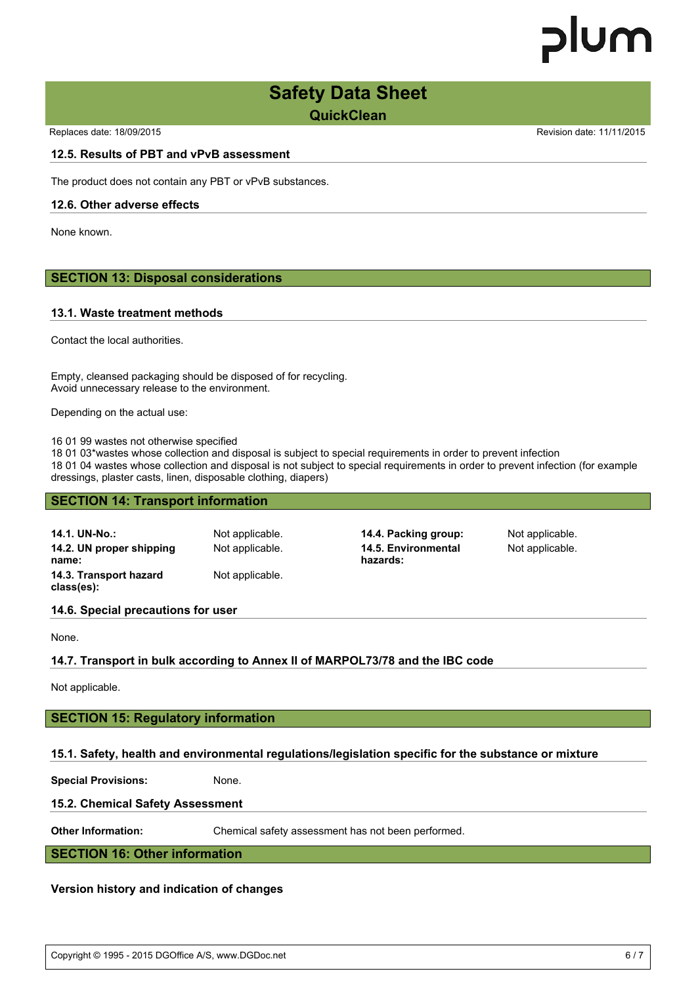# lum

### **Safety Data Sheet**

**QuickClean**

Replaces date: 18/09/2015 Replaces date: 11/11/2015

#### **12.5. Results of PBT and vPvB assessment**

The product does not contain any PBT or vPvB substances.

#### **12.6. Other adverse effects**

None known.

#### **SECTION 13: Disposal considerations**

#### **13.1. Waste treatment methods**

Contact the local authorities.

Empty, cleansed packaging should be disposed of for recycling. Avoid unnecessary release to the environment.

Depending on the actual use:

16 01 99 wastes not otherwise specified

18 01 03\*wastes whose collection and disposal is subject to special requirements in order to prevent infection 18 01 04 wastes whose collection and disposal is not subject to special requirements in order to prevent infection (for example dressings, plaster casts, linen, disposable clothing, diapers)

#### **SECTION 14: Transport information**

| 14.1. UN-No.:<br>14.2. UN proper shipping<br>name:<br>14.3. Transport hazard<br>class(es): | Not applicable.<br>Not applicable.<br>Not applicable. | 14.4. Packing group:<br>14.5. Environmental<br>hazards: | Not applicable.<br>Not applicable. |
|--------------------------------------------------------------------------------------------|-------------------------------------------------------|---------------------------------------------------------|------------------------------------|
|--------------------------------------------------------------------------------------------|-------------------------------------------------------|---------------------------------------------------------|------------------------------------|

#### **14.6. Special precautions for user**

None.

#### **14.7. Transport in bulk according to Annex II of MARPOL73/78 and the IBC code**

Not applicable.

#### **SECTION 15: Regulatory information**

#### **15.1. Safety, health and environmental regulations/legislation specific for the substance or mixture**

**Special Provisions:** None.

#### **15.2. Chemical Safety Assessment**

**Other Information:** Chemical safety assessment has not been performed.

**SECTION 16: Other information**

#### **Version history and indication of changes**